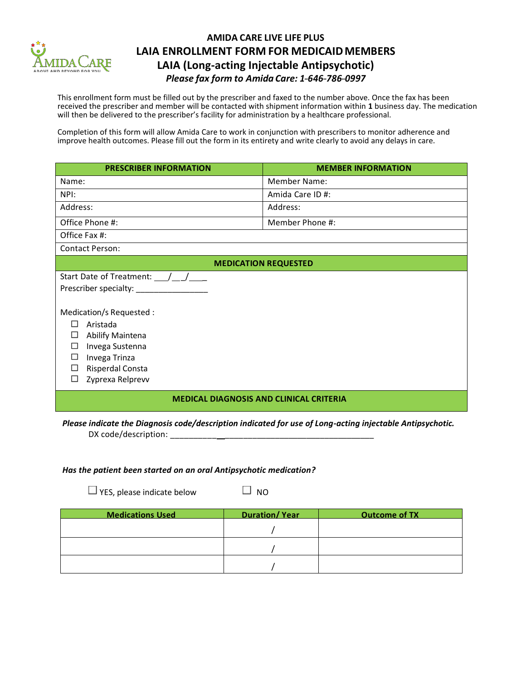

## **AMIDA CARE LIVE LIFE PLUS LAIA ENROLLMENT FORM FOR MEDICAIDMEMBERS LAIA (Long-acting Injectable Antipsychotic)** *Please fax form to Amida Care: 1---646---786---0997*

This enrollment form must be filled out by the prescriber and faxed to the number above. Once the fax has been received the prescriber and member will be contacted with shipment information within **1** business day. The medication will then be delivered to the prescriber's facility for administration by a healthcare professional.

Completion of this form will allow Amida Care to work in conjunction with prescribers to monitor adherence and improve health outcomes. Please fill out the form in its entirety and write clearly to avoid any delays in care.

| <b>PRESCRIBER INFORMATION</b>                                                                                                                                                                           | <b>MEMBER INFORMATION</b> |  |
|---------------------------------------------------------------------------------------------------------------------------------------------------------------------------------------------------------|---------------------------|--|
| Name:                                                                                                                                                                                                   | <b>Member Name:</b>       |  |
| NPI:                                                                                                                                                                                                    | Amida Care ID #:          |  |
| Address:                                                                                                                                                                                                | Address:                  |  |
| Office Phone #:                                                                                                                                                                                         | Member Phone #:           |  |
| Office Fax #:                                                                                                                                                                                           |                           |  |
| <b>Contact Person:</b>                                                                                                                                                                                  |                           |  |
| <b>MEDICATION REQUESTED</b>                                                                                                                                                                             |                           |  |
| Start Date of Treatment: $\angle$                                                                                                                                                                       |                           |  |
| Prescriber specialty:                                                                                                                                                                                   |                           |  |
| Medication/s Requested :<br>П<br>Aristada<br>Abilify Maintena<br>$\sim$<br>Invega Sustenna<br>o<br>Invega Trinza<br>$\mathcal{L}_{\mathcal{L}}$<br>Risperdal Consta<br>$\sim$<br>Zyprexa Relprevv<br>E. |                           |  |
| <b>MEDICAL DIAGNOSIS AND CLINICAL CRITERIA</b>                                                                                                                                                          |                           |  |

*Please indicate the Diagnosis code/description indicated for use of Long-acting injectable Antipsychotic.*  DX code/description:

## *Has the patient been started on an oral Antipsychotic medication?*

 $\Box$  YES, please indicate below  $\Box$  NO

| <b>Medications Used</b> | <b>Duration/Year</b> | <b>Outcome of TX</b> |
|-------------------------|----------------------|----------------------|
|                         |                      |                      |
|                         |                      |                      |
|                         |                      |                      |